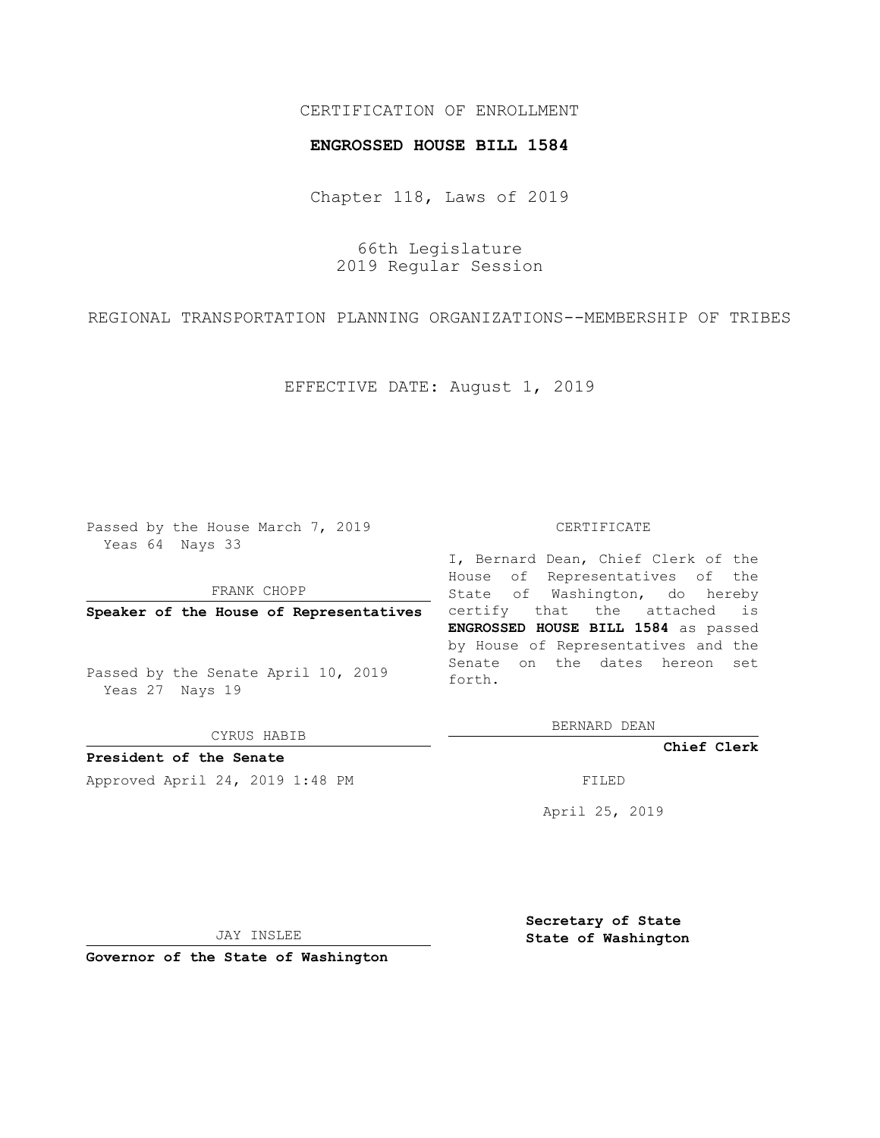## CERTIFICATION OF ENROLLMENT

## **ENGROSSED HOUSE BILL 1584**

Chapter 118, Laws of 2019

66th Legislature 2019 Regular Session

REGIONAL TRANSPORTATION PLANNING ORGANIZATIONS--MEMBERSHIP OF TRIBES

EFFECTIVE DATE: August 1, 2019

Passed by the House March 7, 2019 Yeas 64 Nays 33

FRANK CHOPP

**Speaker of the House of Representatives**

Passed by the Senate April 10, 2019 Yeas 27 Nays 19

CYRUS HABIB

**President of the Senate**

Approved April 24, 2019 1:48 PM FILED

## CERTIFICATE

I, Bernard Dean, Chief Clerk of the House of Representatives of the State of Washington, do hereby certify that the attached is **ENGROSSED HOUSE BILL 1584** as passed by House of Representatives and the Senate on the dates hereon set forth.

BERNARD DEAN

**Chief Clerk**

April 25, 2019

JAY INSLEE

**Governor of the State of Washington**

**Secretary of State State of Washington**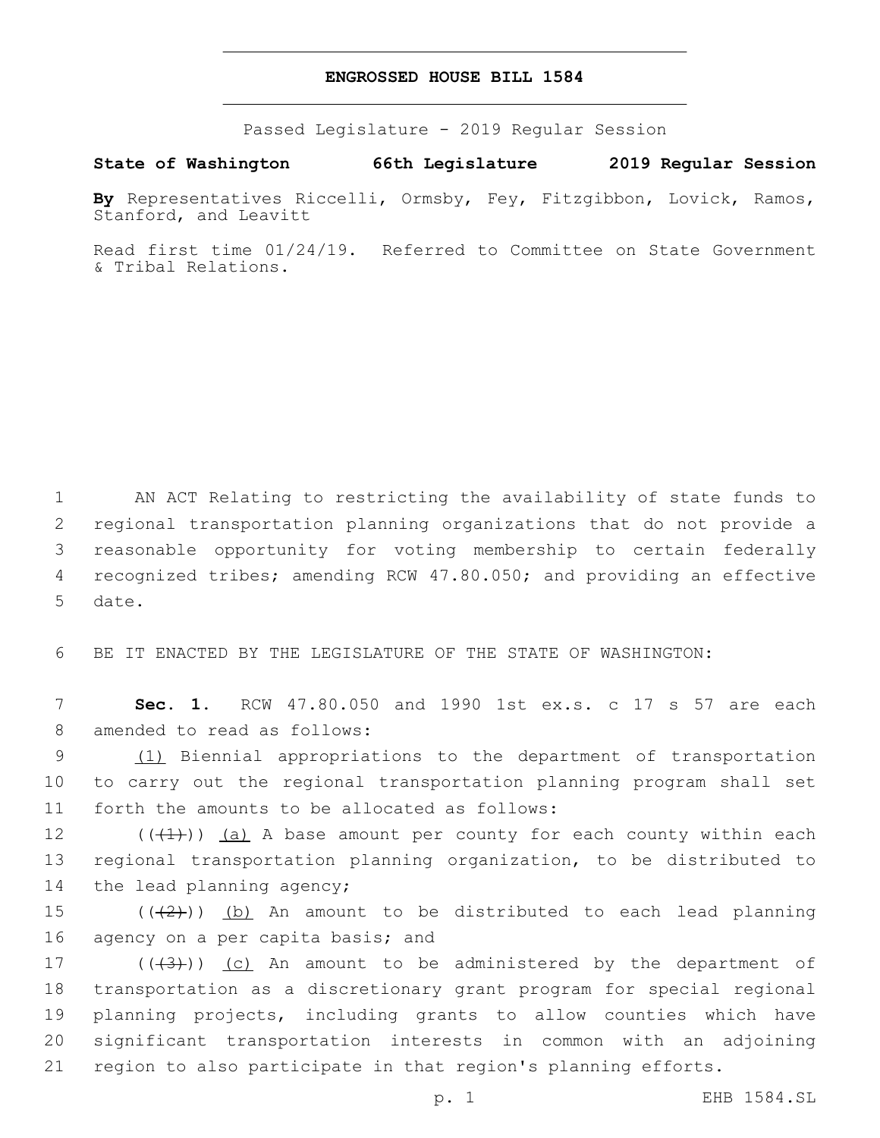## **ENGROSSED HOUSE BILL 1584**

Passed Legislature - 2019 Regular Session

**State of Washington 66th Legislature 2019 Regular Session**

**By** Representatives Riccelli, Ormsby, Fey, Fitzgibbon, Lovick, Ramos, Stanford, and Leavitt

Read first time 01/24/19. Referred to Committee on State Government & Tribal Relations.

 AN ACT Relating to restricting the availability of state funds to regional transportation planning organizations that do not provide a reasonable opportunity for voting membership to certain federally recognized tribes; amending RCW 47.80.050; and providing an effective 5 date.

6 BE IT ENACTED BY THE LEGISLATURE OF THE STATE OF WASHINGTON:

7 **Sec. 1.** RCW 47.80.050 and 1990 1st ex.s. c 17 s 57 are each 8 amended to read as follows:

9 (1) Biennial appropriations to the department of transportation 10 to carry out the regional transportation planning program shall set 11 forth the amounts to be allocated as follows:

12  $((+1))$   $(a)$  A base amount per county for each county within each 13 regional transportation planning organization, to be distributed to 14 the lead planning agency;

15  $((+2+))$  (b) An amount to be distributed to each lead planning 16 agency on a per capita basis; and

 $((+3+))$  (c) An amount to be administered by the department of transportation as a discretionary grant program for special regional planning projects, including grants to allow counties which have significant transportation interests in common with an adjoining region to also participate in that region's planning efforts.